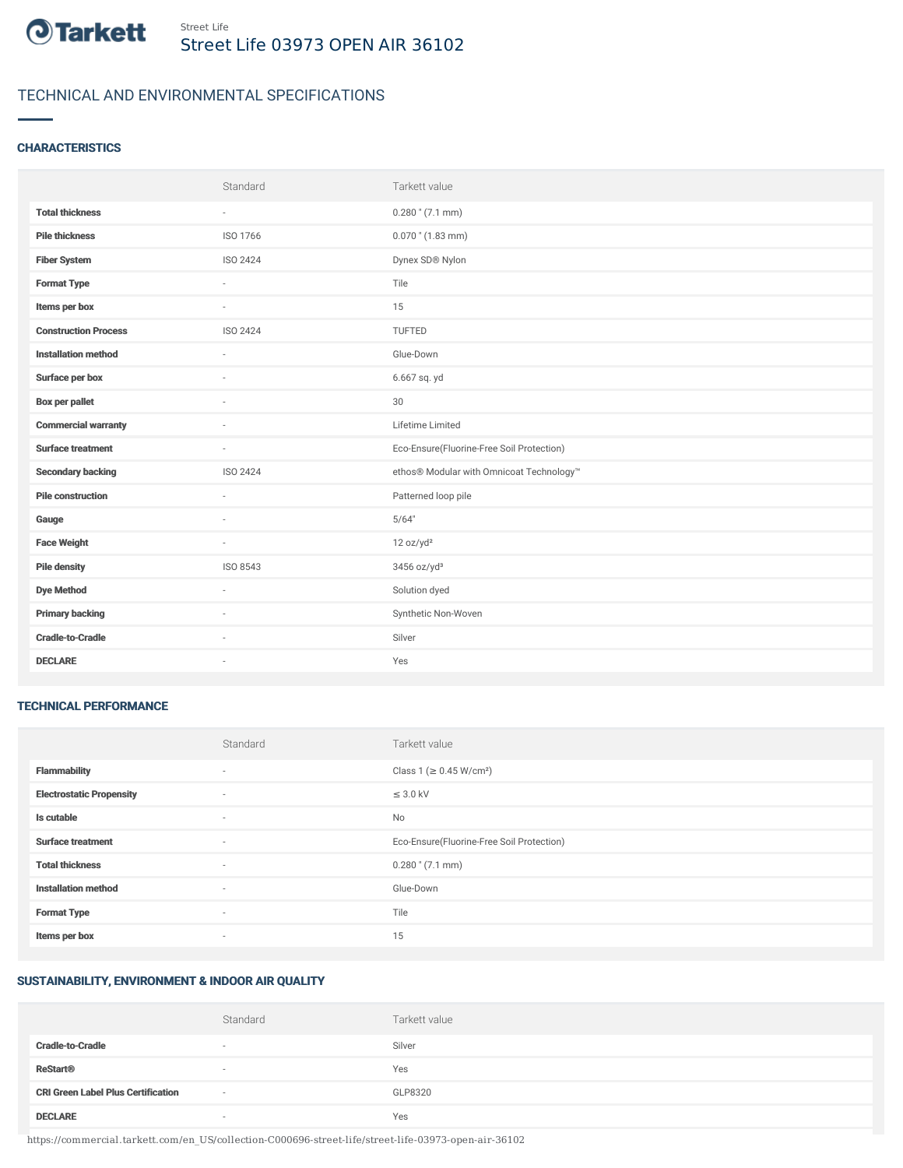

# TECHNICAL AND ENVIRONMENTAL SPECIFICATIONS

# **CHARACTERISTICS**

|                             | Standard | Tarkett value                             |
|-----------------------------|----------|-------------------------------------------|
| <b>Total thickness</b>      | $\sim$   | $0.280$ " (7.1 mm)                        |
| <b>Pile thickness</b>       | ISO 1766 | $0.070$ " (1.83 mm)                       |
| <b>Fiber System</b>         | ISO 2424 | Dynex SD® Nylon                           |
| <b>Format Type</b>          | ٠        | Tile                                      |
| Items per box               | $\sim$   | 15                                        |
| <b>Construction Process</b> | ISO 2424 | TUFTED                                    |
| <b>Installation method</b>  | $\sim$   | Glue-Down                                 |
| Surface per box             | ٠        | 6.667 sq. yd                              |
| <b>Box per pallet</b>       | ×.       | 30                                        |
| <b>Commercial warranty</b>  |          | Lifetime Limited                          |
| <b>Surface treatment</b>    | ×.       | Eco-Ensure(Fluorine-Free Soil Protection) |
| <b>Secondary backing</b>    | ISO 2424 | ethos® Modular with Omnicoat Technology™  |
| <b>Pile construction</b>    | $\sim$   | Patterned loop pile                       |
| Gauge                       |          | 5/64"                                     |
| <b>Face Weight</b>          | $\sim$   | 12 oz/yd <sup>2</sup>                     |
| <b>Pile density</b>         | ISO 8543 | $3456$ oz/yd <sup>3</sup>                 |
| <b>Dye Method</b>           | ×.       | Solution dyed                             |
| <b>Primary backing</b>      | ٠        | Synthetic Non-Woven                       |
| <b>Cradle-to-Cradle</b>     | ×.       | Silver                                    |
| <b>DECLARE</b>              | ٠        | Yes                                       |

#### TECHNICAL PERFORMANCE

|                                 | Standard                 | Tarkett value                             |
|---------------------------------|--------------------------|-------------------------------------------|
| <b>Flammability</b>             | ۰                        | Class 1 (≥ 0.45 W/cm <sup>2</sup> )       |
| <b>Electrostatic Propensity</b> | $\sim$                   | $\leq$ 3.0 kV                             |
| Is cutable                      | $\overline{\phantom{a}}$ | No                                        |
| <b>Surface treatment</b>        | $\sim$                   | Eco-Ensure(Fluorine-Free Soil Protection) |
| <b>Total thickness</b>          | $\sim$                   | $0.280$ " (7.1 mm)                        |
| <b>Installation method</b>      | $\sim$                   | Glue-Down                                 |
| <b>Format Type</b>              | $\sim$                   | Tile                                      |
| Items per box                   | ۰                        | 15                                        |

### SUSTAINABILITY, ENVIRONMENT & INDOOR AIR QUALITY

|                                           | Standard                 | Tarkett value |
|-------------------------------------------|--------------------------|---------------|
| <b>Cradle-to-Cradle</b>                   | $\sim$                   | Silver        |
| <b>ReStart<sup>®</sup></b>                | $\sim$                   | Yes           |
| <b>CRI Green Label Plus Certification</b> | $\overline{\phantom{a}}$ | GLP8320       |
| <b>DECLARE</b>                            | $\sim$                   | Yes           |

https://commercial.tarkett.com/en\_US/collection-C000696-street-life/street-life-03973-open-air-36102